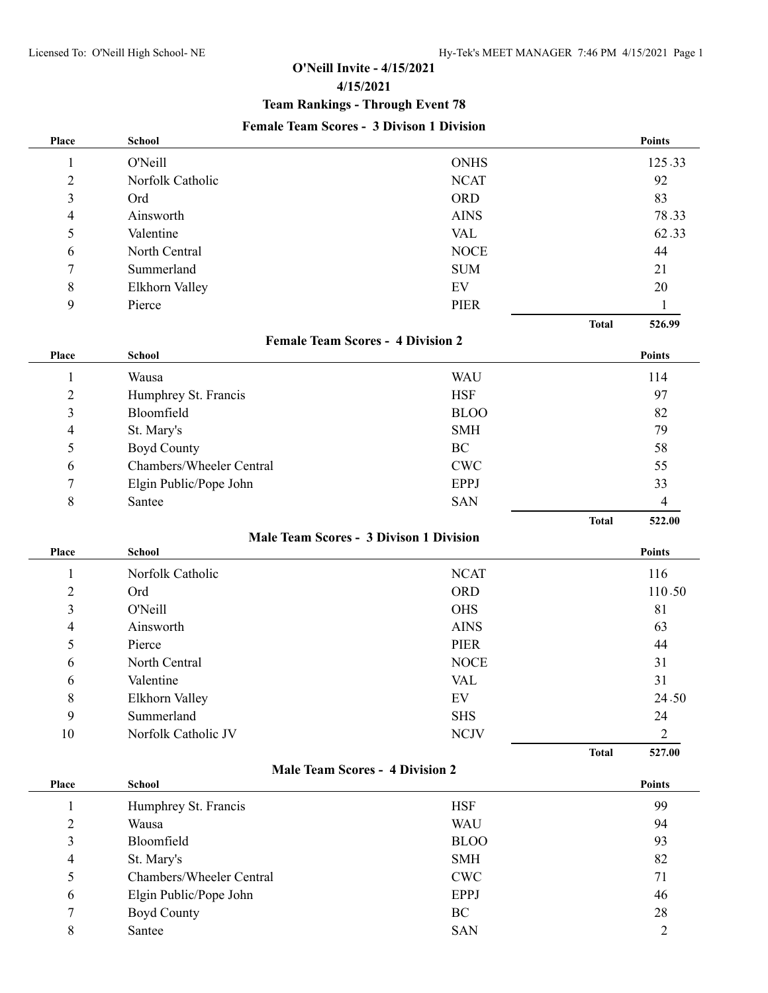## **O'Neill Invite - 4/15/2021 4/15/2021 Team Rankings - Through Event 78 Female Team Scores - 3 Divison 1 Division**

| Place                                          | <b>School</b>            |                                        |              | <b>Points</b>  |
|------------------------------------------------|--------------------------|----------------------------------------|--------------|----------------|
| 1                                              | <b>O'Neill</b>           | <b>ONHS</b>                            |              | 125.33         |
| $\overline{c}$                                 | Norfolk Catholic         | <b>NCAT</b>                            |              | 92             |
| 3                                              | Ord                      | <b>ORD</b>                             |              | 83             |
| 4                                              | Ainsworth                | <b>AINS</b>                            |              | 78.33          |
| 5                                              | Valentine                | <b>VAL</b>                             |              | 62.33          |
| 6                                              | North Central            | <b>NOCE</b>                            |              | 44             |
| 7                                              | Summerland               | <b>SUM</b>                             |              | 21             |
| 8                                              | Elkhorn Valley           | EV                                     |              | 20             |
| 9                                              | Pierce                   | <b>PIER</b>                            |              | 1              |
|                                                |                          |                                        | <b>Total</b> | 526.99         |
| <b>Female Team Scores - 4 Division 2</b>       |                          |                                        |              |                |
| Place                                          | <b>School</b>            |                                        |              | <b>Points</b>  |
| 1                                              | Wausa                    | <b>WAU</b>                             |              | 114            |
| $\overline{c}$                                 | Humphrey St. Francis     | <b>HSF</b>                             |              | 97             |
| 3                                              | Bloomfield               | <b>BLOO</b>                            |              | 82             |
| 4                                              | St. Mary's               | <b>SMH</b>                             |              | 79             |
| 5                                              | <b>Boyd County</b>       | BC                                     |              | 58             |
| 6                                              | Chambers/Wheeler Central | <b>CWC</b>                             |              | 55             |
| 7                                              | Elgin Public/Pope John   | <b>EPPJ</b>                            |              | 33             |
| 8                                              | Santee                   | <b>SAN</b>                             |              | $\overline{4}$ |
|                                                |                          |                                        | <b>Total</b> | 522.00         |
| <b>Male Team Scores - 3 Divison 1 Division</b> |                          |                                        |              |                |
| Place                                          | <b>School</b>            |                                        |              | Points         |
| 1                                              | Norfolk Catholic         | <b>NCAT</b>                            |              | 116            |
| $\overline{c}$                                 | Ord                      | <b>ORD</b>                             |              | 110.50         |
| $\mathfrak{Z}$                                 | <b>O'Neill</b>           | <b>OHS</b>                             |              | 81             |
| 4                                              | Ainsworth                | <b>AINS</b>                            |              | 63             |
| 5                                              | Pierce                   | <b>PIER</b>                            |              | 44             |
| 6                                              | North Central            | <b>NOCE</b>                            |              | 31             |
| 6                                              | Valentine                | <b>VAL</b>                             |              | 31             |
| 8                                              | Elkhorn Valley           | EV                                     |              | 24.50          |
| 9                                              | Summerland               | <b>SHS</b>                             |              | 24             |
| $10\,$                                         | Norfolk Catholic JV      | <b>NCJV</b>                            |              | $\overline{2}$ |
|                                                |                          |                                        | <b>Total</b> | 527.00         |
|                                                |                          | <b>Male Team Scores - 4 Division 2</b> |              |                |
| Place                                          | <b>School</b>            |                                        |              | Points         |
| $\mathbf{1}$                                   | Humphrey St. Francis     | <b>HSF</b>                             |              | 99             |
| $\overline{c}$                                 | Wausa                    | <b>WAU</b>                             |              | 94             |
| 3                                              | Bloomfield               | <b>BLOO</b>                            |              | 93             |
| 4                                              | St. Mary's               | <b>SMH</b>                             |              | 82             |
| 5                                              | Chambers/Wheeler Central | <b>CWC</b>                             |              | 71             |
| 6                                              | Elgin Public/Pope John   | <b>EPPJ</b>                            |              | 46             |
| 7                                              | <b>Boyd County</b>       | $\rm BC$                               |              | 28             |
| 8                                              | Santee                   | <b>SAN</b>                             |              | $\overline{2}$ |